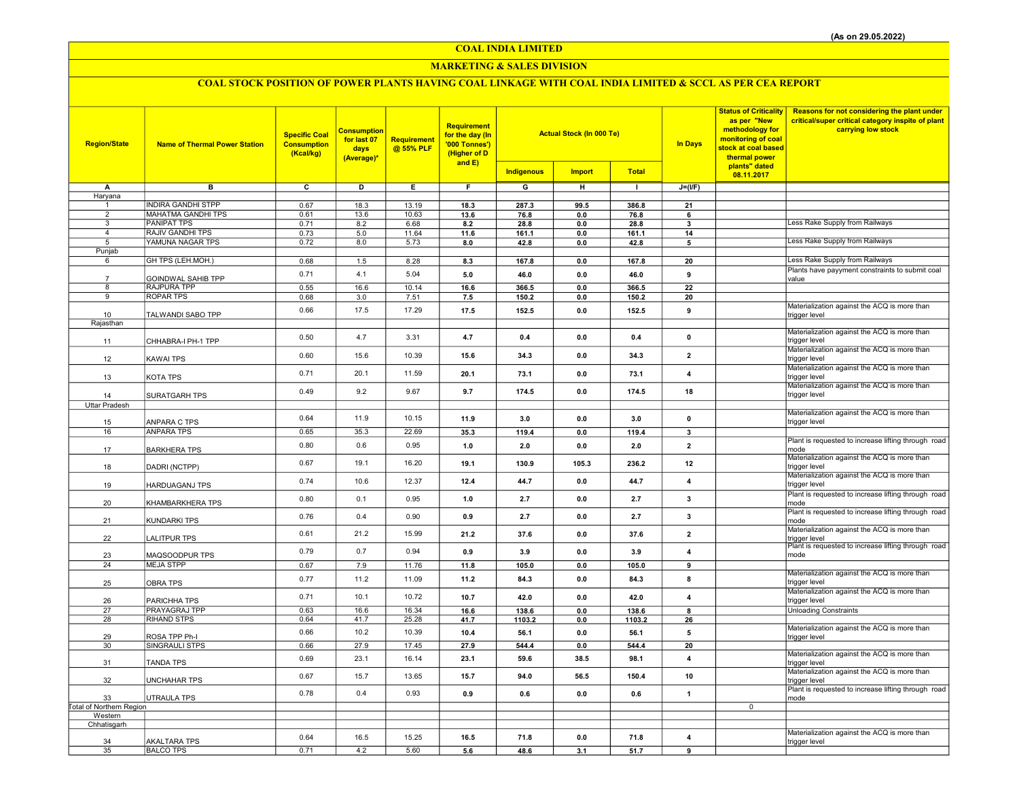## MARKETING & SALES DIVISION

| <b>Region/State</b>                   | <b>Name of Thermal Power Station</b>            | <b>Specific Coal</b><br><b>Consumption</b><br>(Kcal/kg) | Consumption<br>for last 07<br>days<br>(Average)* | Requirement<br>@ 55% PLF | <b>Requirement</b><br>for the day (In<br>'000 Tonnes')<br>(Higher of D<br>and $E$ ) |                   | <b>Actual Stock (In 000 Te)</b> |               | <b>In Days</b>          | <b>Status of Criticality</b><br>as per "New<br>methodology for<br>monitoring of coal<br>stock at coal based<br>thermal power | Reasons for not considering the plant under<br>critical/super critical category inspite of plant<br>carrying low stock |
|---------------------------------------|-------------------------------------------------|---------------------------------------------------------|--------------------------------------------------|--------------------------|-------------------------------------------------------------------------------------|-------------------|---------------------------------|---------------|-------------------------|------------------------------------------------------------------------------------------------------------------------------|------------------------------------------------------------------------------------------------------------------------|
|                                       |                                                 |                                                         |                                                  |                          |                                                                                     | <b>Indigenous</b> | <b>Import</b>                   | <b>Total</b>  |                         | plants" dated<br>08.11.2017                                                                                                  |                                                                                                                        |
| А                                     | B                                               | $\overline{c}$                                          | $\overline{D}$                                   | E                        | F                                                                                   | $\overline{G}$    | H                               | $\top$        | $J=(I/F)$               |                                                                                                                              |                                                                                                                        |
| Haryana                               |                                                 |                                                         |                                                  |                          |                                                                                     |                   |                                 |               |                         |                                                                                                                              |                                                                                                                        |
| -1                                    | <b>INDIRA GANDHI STPP</b>                       | 0.67                                                    | 18.3                                             | 13.19                    | 18.3                                                                                | 287.3             | 99.5                            | 386.8         | 21                      |                                                                                                                              |                                                                                                                        |
| 2                                     | <b>MAHATMA GANDHI TPS</b>                       | 0.61                                                    | 13.6                                             | 10.63                    | 13.6                                                                                | 76.8              | 0.0                             | 76.8          | 6                       |                                                                                                                              |                                                                                                                        |
| $\overline{3}$<br>$\overline{4}$      | <b>PANIPAT TPS</b><br><b>RAJIV GANDHI TPS</b>   | 0.71<br>0.73                                            | 8.2<br>$5.0$                                     | 6.68<br>11.64            | 8.2<br>11.6                                                                         | 28.8<br>161.1     | 0.0<br>0.0                      | 28.8<br>161.1 | 3<br>14                 |                                                                                                                              | Less Rake Supply from Railways                                                                                         |
| 5                                     | YAMUNA NAGAR TPS                                | 0.72                                                    | 8.0                                              | 5.73                     | 8.0                                                                                 | 42.8              | 0.0                             | 42.8          | 5                       |                                                                                                                              | Less Rake Supply from Railways                                                                                         |
| Punjab                                |                                                 |                                                         |                                                  |                          |                                                                                     |                   |                                 |               |                         |                                                                                                                              |                                                                                                                        |
| 6                                     | GH TPS (LEH.MOH.)                               | 0.68                                                    | 1.5                                              | 8.28                     | 8.3                                                                                 | 167.8             | 0.0                             | 167.8         | 20                      |                                                                                                                              | Less Rake Supply from Railways                                                                                         |
|                                       |                                                 | 0.71                                                    | 4.1                                              | 5.04                     | 5.0                                                                                 | 46.0              | 0.0                             | 46.0          | 9                       |                                                                                                                              | Plants have payyment constraints to submit coal                                                                        |
| 8                                     | <b>GOINDWAL SAHIB TPP</b><br><b>RAJPURA TPP</b> | 0.55                                                    | 16.6                                             | 10.14                    | 16.6                                                                                | 366.5             | 0.0                             | 366.5         | 22                      |                                                                                                                              | value                                                                                                                  |
| 9                                     | <b>ROPAR TPS</b>                                | 0.68                                                    | 3.0                                              | 7.51                     | 7.5                                                                                 | 150.2             | 0.0                             | 150.2         | 20                      |                                                                                                                              |                                                                                                                        |
|                                       |                                                 | 0.66                                                    | 17.5                                             | 17.29                    | 17.5                                                                                | 152.5             | 0.0                             | 152.5         | 9                       |                                                                                                                              | Materialization against the ACQ is more than                                                                           |
| 10                                    | TALWANDI SABO TPP                               |                                                         |                                                  |                          |                                                                                     |                   |                                 |               |                         |                                                                                                                              | trigger level                                                                                                          |
| Rajasthan                             |                                                 |                                                         |                                                  |                          |                                                                                     |                   |                                 |               |                         |                                                                                                                              | Materialization against the ACQ is more than                                                                           |
| 11                                    | CHHABRA-I PH-1 TPP                              | 0.50                                                    | 4.7                                              | 3.31                     | 4.7                                                                                 | 0.4               | 0.0                             | 0.4           | $\pmb{0}$               |                                                                                                                              | trigger level                                                                                                          |
|                                       |                                                 |                                                         |                                                  |                          |                                                                                     |                   |                                 |               |                         |                                                                                                                              | Materialization against the ACQ is more than                                                                           |
| 12                                    | <b>KAWAI TPS</b>                                | 0.60                                                    | 15.6                                             | 10.39                    | 15.6                                                                                | 34.3              | 0.0                             | 34.3          | $\overline{2}$          |                                                                                                                              | trigger level                                                                                                          |
|                                       |                                                 | 0.71                                                    | 20.1                                             | 11.59                    | 20.1                                                                                | 73.1              | 0.0                             | 73.1          | $\overline{\mathbf{4}}$ |                                                                                                                              | Materialization against the ACQ is more than                                                                           |
| 13                                    | <b>KOTA TPS</b>                                 |                                                         |                                                  |                          |                                                                                     |                   |                                 |               |                         |                                                                                                                              | trigger level<br>Materialization against the ACQ is more than                                                          |
| 14                                    | SURATGARH TPS                                   | 0.49                                                    | 9.2                                              | 9.67                     | 9.7                                                                                 | 174.5             | 0.0                             | 174.5         | 18                      |                                                                                                                              | trigger level                                                                                                          |
| <b>Uttar Pradesh</b>                  |                                                 |                                                         |                                                  |                          |                                                                                     |                   |                                 |               |                         |                                                                                                                              |                                                                                                                        |
|                                       |                                                 | 0.64                                                    | 11.9                                             | 10.15                    | 11.9                                                                                | 3.0               | 0.0                             | 3.0           | $\mathbf 0$             |                                                                                                                              | Materialization against the ACQ is more than                                                                           |
| 15<br>16                              | ANPARA C TPS<br><b>ANPARA TPS</b>               |                                                         | 35.3                                             | 22.69                    | 35.3                                                                                | 119.4             | 0.0                             | 119.4         | $\mathbf{3}$            |                                                                                                                              | trigger level                                                                                                          |
|                                       |                                                 | 0.65                                                    |                                                  |                          |                                                                                     |                   |                                 |               |                         |                                                                                                                              | Plant is requested to increase lifting through road                                                                    |
| 17                                    | <b>BARKHERA TPS</b>                             | 0.80                                                    | 0.6                                              | 0.95                     | 1.0                                                                                 | 2.0               | 0.0                             | 2.0           | $\overline{2}$          |                                                                                                                              | mode                                                                                                                   |
|                                       |                                                 | 0.67                                                    | 19.1                                             | 16.20                    | 19.1                                                                                | 130.9             | 105.3                           | 236.2         | $12\,$                  |                                                                                                                              | Materialization against the ACQ is more than                                                                           |
| 18                                    | DADRI (NCTPP)                                   |                                                         |                                                  |                          |                                                                                     |                   |                                 |               |                         |                                                                                                                              | trigger level<br>Materialization against the ACQ is more than                                                          |
| 19                                    | <b>HARDUAGANJ TPS</b>                           | 0.74                                                    | 10.6                                             | 12.37                    | 12.4                                                                                | 44.7              | 0.0                             | 44.7          | $\overline{\mathbf{4}}$ |                                                                                                                              | trigger level                                                                                                          |
|                                       |                                                 |                                                         |                                                  |                          |                                                                                     |                   |                                 |               |                         |                                                                                                                              | Plant is requested to increase lifting through road                                                                    |
| 20                                    | KHAMBARKHERA TPS                                | 0.80                                                    | 0.1                                              | 0.95                     | 1.0                                                                                 | 2.7               | 0.0                             | 2.7           | 3                       |                                                                                                                              | mode                                                                                                                   |
|                                       |                                                 | 0.76                                                    | 0.4                                              | 0.90                     | 0.9                                                                                 | 2.7               | 0.0                             | 2.7           | 3                       |                                                                                                                              | Plant is requested to increase lifting through road                                                                    |
| 21                                    | <b>KUNDARKI TPS</b>                             |                                                         |                                                  |                          |                                                                                     |                   |                                 |               |                         |                                                                                                                              | mode<br>Materialization against the ACQ is more than                                                                   |
| 22                                    | <b>LALITPUR TPS</b>                             | 0.61                                                    | 21.2                                             | 15.99                    | 21.2                                                                                | 37.6              | 0.0                             | 37.6          | $\overline{\mathbf{2}}$ |                                                                                                                              | trigger level                                                                                                          |
|                                       |                                                 | 0.79                                                    | 0.7                                              | 0.94                     | 0.9                                                                                 | 3.9               | 0.0                             | 3.9           | $\overline{4}$          |                                                                                                                              | Plant is requested to increase lifting through road                                                                    |
| 23                                    | MAQSOODPUR TPS                                  |                                                         |                                                  |                          |                                                                                     |                   |                                 |               |                         |                                                                                                                              | mode                                                                                                                   |
| 24                                    | <b>MEJA STPP</b>                                | 0.67                                                    | 7.9                                              | 11.76                    | 11.8                                                                                | 105.0             | 0.0                             | 105.0         | 9                       |                                                                                                                              | Materialization against the ACQ is more than                                                                           |
| 25                                    | <b>OBRA TPS</b>                                 | 0.77                                                    | 11.2                                             | 11.09                    | 11.2                                                                                | 84.3              | 0.0                             | 84.3          | 8                       |                                                                                                                              | trigger level                                                                                                          |
|                                       |                                                 | 0.71                                                    | 10.1                                             | 10.72                    | 10.7                                                                                | 42.0              | 0.0                             | 42.0          | $\overline{4}$          |                                                                                                                              | Materialization against the ACQ is more than                                                                           |
| 26                                    | PARICHHA TPS                                    |                                                         |                                                  |                          |                                                                                     |                   |                                 |               |                         |                                                                                                                              | trigger level                                                                                                          |
| 27<br>28                              | PRAYAGRAJ TPP<br><b>RIHAND STPS</b>             | 0.63<br>0.64                                            | 16.6<br>41.7                                     | 16.34<br>25.28           | 16.6                                                                                | 138.6             | 0.0<br>0.0                      | 138.6         | 8                       |                                                                                                                              | <b>Unloading Constraints</b>                                                                                           |
|                                       |                                                 |                                                         |                                                  |                          | 41.7                                                                                | 1103.2            |                                 | 1103.2        | 26                      |                                                                                                                              | Materialization against the ACQ is more than                                                                           |
| 29                                    | ROSA TPP Ph-I                                   | 0.66                                                    | 10.2                                             | 10.39                    | 10.4                                                                                | 56.1              | 0.0                             | 56.1          | 5                       |                                                                                                                              | trigger level                                                                                                          |
| 30                                    | SINGRAULI STPS                                  | 0.66                                                    | 27.9                                             | 17.45                    | 27.9                                                                                | 544.4             | 0.0                             | 544.4         | 20                      |                                                                                                                              |                                                                                                                        |
| 31                                    | <b>TANDA TPS</b>                                | 0.69                                                    | 23.1                                             | 16.14                    | 23.1                                                                                | 59.6              | 38.5                            | 98.1          | $\overline{4}$          |                                                                                                                              | Materialization against the ACQ is more than                                                                           |
|                                       |                                                 |                                                         |                                                  |                          |                                                                                     |                   |                                 |               |                         |                                                                                                                              | trigger level<br>Materialization against the ACQ is more than                                                          |
| 32                                    | <b>UNCHAHAR TPS</b>                             | 0.67                                                    | 15.7                                             | 13.65                    | 15.7                                                                                | 94.0              | 56.5                            | 150.4         | 10                      |                                                                                                                              | trigger level                                                                                                          |
|                                       |                                                 | 0.78                                                    | 0.4                                              | 0.93                     | 0.9                                                                                 | 0.6               | $0.0\,$                         | 0.6           | $\mathbf{1}$            |                                                                                                                              | Plant is requested to increase lifting through road                                                                    |
| 33<br><b>Total of Northern Region</b> | UTRAULA TPS                                     |                                                         |                                                  |                          |                                                                                     |                   |                                 |               |                         | $\overline{0}$                                                                                                               | mode                                                                                                                   |
| Western                               |                                                 |                                                         |                                                  |                          |                                                                                     |                   |                                 |               |                         |                                                                                                                              |                                                                                                                        |
| Chhatisgarh                           |                                                 |                                                         |                                                  |                          |                                                                                     |                   |                                 |               |                         |                                                                                                                              |                                                                                                                        |
|                                       |                                                 | 0.64                                                    | 16.5                                             | 15.25                    | 16.5                                                                                | 71.8              | 0.0                             | 71.8          | $\overline{\mathbf{4}}$ |                                                                                                                              | Materialization against the ACQ is more than                                                                           |
| 34<br>35                              | <b>AKALTARA TPS</b><br><b>BALCO TPS</b>         | 0.71                                                    | 4.2                                              | 5.60                     | 5.6                                                                                 | 48.6              | 3.1                             | 51.7          | $\overline{9}$          |                                                                                                                              | trigger level                                                                                                          |
|                                       |                                                 |                                                         |                                                  |                          |                                                                                     |                   |                                 |               |                         |                                                                                                                              |                                                                                                                        |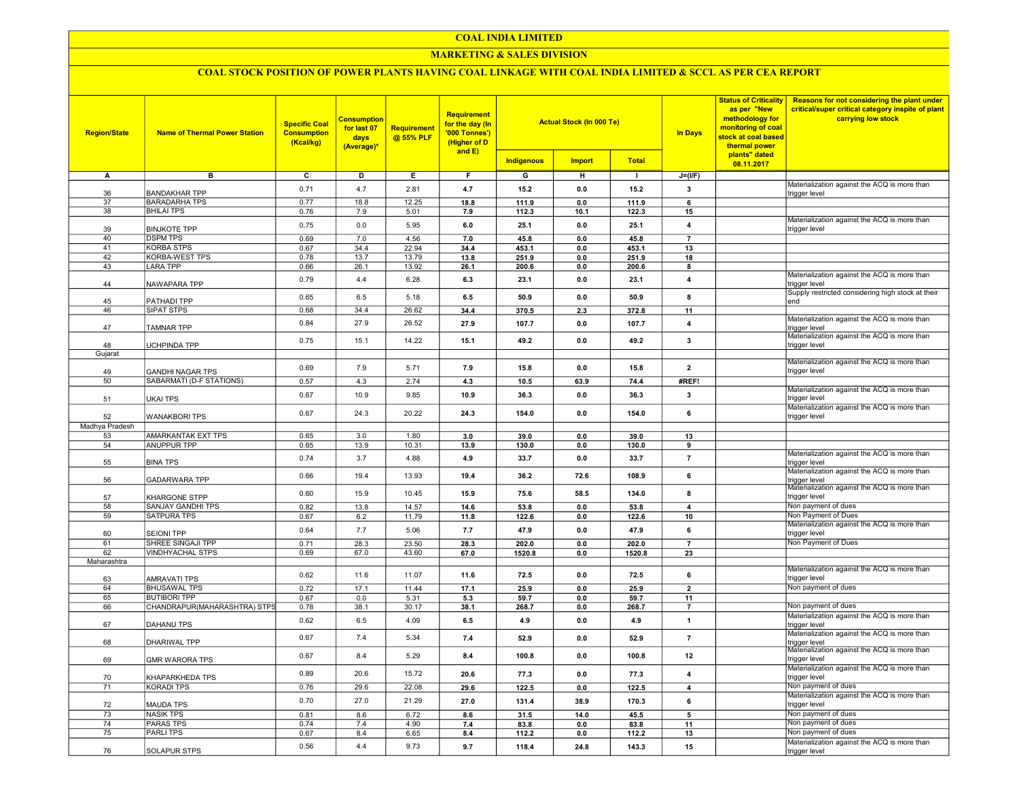### MARKETING & SALES DIVISION

| <b>Region/State</b> | <b>Name of Thermal Power Station</b>      | <b>Specific Coal</b><br><b>Consumption</b><br>(Kcal/kg) | <mark>Consumption</mark><br>for last 07<br>days<br>(Average)* | Requirement<br>@ 55% PLF | <b>Requirement</b><br>for the day (In<br>'000 Tonnes')<br>(Higher of D<br>and $E$ ) |                |               | as per "New<br><b>Actual Stock (In 000 Te)</b><br><b>In Days</b><br>thermal power |                         | <b>Status of Criticality</b><br>methodology for<br>monitoring of coal<br>stock at coal based | Reasons for not considering the plant under<br>critical/super critical category inspite of plant<br>carrying low stock |
|---------------------|-------------------------------------------|---------------------------------------------------------|---------------------------------------------------------------|--------------------------|-------------------------------------------------------------------------------------|----------------|---------------|-----------------------------------------------------------------------------------|-------------------------|----------------------------------------------------------------------------------------------|------------------------------------------------------------------------------------------------------------------------|
|                     |                                           |                                                         |                                                               |                          |                                                                                     | Indigenous     | <b>Import</b> | <b>Total</b>                                                                      |                         | plants" dated<br>08.11.2017                                                                  |                                                                                                                        |
| A                   | в                                         | C                                                       | D                                                             | Е                        | F.                                                                                  | G              | н             | $\mathbf{L}$                                                                      | J=(I/F)                 |                                                                                              |                                                                                                                        |
|                     |                                           | 0.71                                                    | 4.7                                                           | 2.81                     | 4.7                                                                                 | 15.2           | 0.0           | 15.2                                                                              | $\mathbf{3}$            |                                                                                              | Materialization against the ACQ is more than                                                                           |
| 36                  | <b>BANDAKHAR TPP</b>                      |                                                         |                                                               |                          |                                                                                     |                |               |                                                                                   |                         |                                                                                              | trigger level                                                                                                          |
| 37<br>38            | <b>BARADARHA TPS</b><br><b>BHILAI TPS</b> | 0.77<br>0.76                                            | 18.8<br>7.9                                                   | 12.25<br>5.01            | 18.8<br>7.9                                                                         | 111.9<br>112.3 | 0.0<br>10.1   | 111.9<br>122.3                                                                    | 6<br>15                 |                                                                                              |                                                                                                                        |
|                     |                                           |                                                         |                                                               |                          |                                                                                     |                |               |                                                                                   |                         |                                                                                              | Materialization against the ACQ is more than                                                                           |
| 39                  | <b>BINJKOTE TPP</b>                       | 0.75                                                    | 0.0                                                           | 5.95                     | 6.0                                                                                 | 25.1           | $0.0\,$       | 25.1                                                                              | $\overline{\mathbf{4}}$ |                                                                                              | trigger level                                                                                                          |
| 40                  | <b>DSPM TPS</b>                           | 0.69                                                    | 7.0                                                           | 4.56                     | 7.0                                                                                 | 45.8           | $0.0\,$       | 45.8                                                                              | $\overline{7}$          |                                                                                              |                                                                                                                        |
| 41                  | <b>KORBA STPS</b>                         | 0.67                                                    | 34.4                                                          | 22.94                    | 34.4                                                                                | 453.1          | 0.0           | 453.1                                                                             | 13                      |                                                                                              |                                                                                                                        |
| 42                  | <b>KORBA-WEST TPS</b>                     | 0.78                                                    | 13.7                                                          | 13.79                    | 13.8                                                                                | 251.9          | 0.0           | 251.9                                                                             | 18                      |                                                                                              |                                                                                                                        |
| 43                  | <b>LARA TPP</b>                           | 0.66                                                    | 26.1                                                          | 13.92                    | 26.1                                                                                | 200.6          | 0.0           | 200.6                                                                             | 8                       |                                                                                              |                                                                                                                        |
| 44                  | NAWAPARA TPP                              | 0.79                                                    | 4.4                                                           | 6.28                     | 6.3                                                                                 | 23.1           | 0.0           | 23.1                                                                              | $\overline{\mathbf{4}}$ |                                                                                              | Materialization against the ACQ is more than<br>trigger level                                                          |
| 45                  | PATHADI TPP                               | 0.65                                                    | 6.5                                                           | 5.18                     | 6.5                                                                                 | 50.9           | 0.0           | 50.9                                                                              | 8                       |                                                                                              | Supply restricted considering high stock at their<br>end                                                               |
| 46                  | <b>SIPAT STPS</b>                         | 0.68                                                    | 34.4                                                          | 26.62                    | 34.4                                                                                | 370.5          | 2.3           | 372.8                                                                             | 11                      |                                                                                              | Materialization against the ACQ is more than                                                                           |
| 47                  | <b>TAMNAR TPP</b>                         | 0.84                                                    | 27.9                                                          | 26.52                    | 27.9                                                                                | 107.7          | 0.0           | 107.7                                                                             | $\overline{4}$          |                                                                                              | trigger level                                                                                                          |
| 48                  | <b>UCHPINDA TPP</b>                       | 0.75                                                    | 15.1                                                          | 14.22                    | 15.1                                                                                | 49.2           | 0.0           | 49.2                                                                              | 3                       |                                                                                              | Materialization against the ACQ is more than<br>trigger level                                                          |
| Gujarat             |                                           |                                                         |                                                               |                          |                                                                                     |                |               |                                                                                   |                         |                                                                                              |                                                                                                                        |
|                     |                                           |                                                         |                                                               |                          |                                                                                     |                |               |                                                                                   |                         |                                                                                              | Materialization against the ACQ is more than                                                                           |
| 49                  | <b>GANDHI NAGAR TPS</b>                   | 0.69                                                    | 7.9                                                           | 5.71                     | 7.9                                                                                 | 15.8           | $0.0\,$       | 15.8                                                                              | $\overline{\mathbf{2}}$ |                                                                                              | trigger level                                                                                                          |
| $\overline{50}$     | <b>SABARMATI (D-F STATIONS)</b>           | 0.57                                                    | 4.3                                                           | 2.74                     | 4.3                                                                                 | 10.5           | 63.9          | 74.4                                                                              | #REF!                   |                                                                                              |                                                                                                                        |
| 51                  | UKAI TPS                                  | 0.67                                                    | 10.9                                                          | 9.85                     | 10.9                                                                                | 36.3           | 0.0           | 36.3                                                                              | 3                       |                                                                                              | Materialization against the ACQ is more than<br>trigger level                                                          |
| 52                  | <b>WANAKBORI TPS</b>                      | 0.67                                                    | 24.3                                                          | 20.22                    | 24.3                                                                                | 154.0          | 0.0           | 154.0                                                                             | 6                       |                                                                                              | Materialization against the ACQ is more than<br>trigger level                                                          |
| Madhya Pradesh      |                                           |                                                         |                                                               |                          |                                                                                     |                |               |                                                                                   |                         |                                                                                              |                                                                                                                        |
| 53                  | <b>AMARKANTAK EXT TPS</b>                 | 0.65                                                    | 3.0                                                           | 1.80                     | 3.0                                                                                 | 39.0           | 0.0           | 39.0                                                                              | 13                      |                                                                                              |                                                                                                                        |
| 54                  | <b>ANUPPUR TPP</b>                        | 0.65                                                    | 13.9                                                          | 10.31                    | 13.9                                                                                | 130.0          | $0.0\,$       | 130.0                                                                             | 9                       |                                                                                              |                                                                                                                        |
| 55                  | <b>BINA TPS</b>                           | 0.74                                                    | 3.7                                                           | 4.88                     | 4.9                                                                                 | 33.7           | 0.0           | 33.7                                                                              | $\overline{7}$          |                                                                                              | Materialization against the ACQ is more than<br>trigger level                                                          |
| 56                  | GADARWARA TPP                             | 0.66                                                    | 19.4                                                          | 13.93                    | 19.4                                                                                | 36.2           | 72.6          | 108.9                                                                             | 6                       |                                                                                              | Materialization against the ACQ is more than<br>trigger level                                                          |
| 57                  | KHARGONE STPP                             | 0.60                                                    | 15.9                                                          | 10.45                    | 15.9                                                                                | 75.6           | 58.5          | 134.0                                                                             | 8                       |                                                                                              | Materialization against the ACQ is more than<br>trigger level                                                          |
| 58                  | <b>SANJAY GANDHI TPS</b>                  | 0.82                                                    | 13.8                                                          | 14.57                    | 14.6                                                                                | 53.8           | $0.0\,$       | 53.8                                                                              | $\overline{4}$          |                                                                                              | Non payment of dues                                                                                                    |
| 59                  | <b>SATPURA TPS</b>                        | 0.67                                                    | 6.2                                                           | 11.79                    | 11.8                                                                                | 122.6          | $0.0\,$       | 122.6                                                                             | 10                      |                                                                                              | Non Payment of Dues<br>Materialization against the ACQ is more than                                                    |
| 60                  | <b>SEIONI TPP</b>                         | 0.64                                                    | 7.7                                                           | 5.06                     | 7.7                                                                                 | 47.9           | 0.0           | 47.9                                                                              | 6                       |                                                                                              | trigger level                                                                                                          |
| 61                  | SHREE SINGAJI TPP                         | 0.71                                                    | 28.3                                                          | 23.50                    | 28.3                                                                                | 202.0          | 0.0           | 202.0                                                                             | $\overline{7}$          |                                                                                              | Non Payment of Dues                                                                                                    |
| 62<br>Maharashtra   | <b>VINDHYACHAL STPS</b>                   | 0.69                                                    | 67.0                                                          | 43.60                    | 67.0                                                                                | 1520.8         | 0.0           | 1520.8                                                                            | 23                      |                                                                                              |                                                                                                                        |
| 63                  | AMRAVATI TPS                              | 0.62                                                    | 11.6                                                          | 11.07                    | 11.6                                                                                | 72.5           | 0.0           | 72.5                                                                              | 6                       |                                                                                              | Materialization against the ACQ is more than<br>trigger level                                                          |
| 64                  | <b>BHUSAWAL TPS</b>                       | 0.72                                                    | 17.1                                                          | 11.44                    | 17.1                                                                                | 25.9           | 0.0           | 25.9                                                                              | $\overline{2}$          |                                                                                              | Non payment of dues                                                                                                    |
| 65                  | <b>BUTIBORI TPP</b>                       | 0.67                                                    | 0.0                                                           | 5.31                     | 5.3                                                                                 | 59.7           | 0.0           | 59.7                                                                              | 11                      |                                                                                              |                                                                                                                        |
| 66                  | CHANDRAPUR(MAHARASHTRA) STPS              | 0.78                                                    | 38.1                                                          | 30.17                    | 38.1                                                                                | 268.7          | $0.0\,$       | 268.7                                                                             | $\overline{7}$          |                                                                                              | Non payment of dues                                                                                                    |
| 67                  | DAHANU TPS                                | 0.62                                                    | 6.5                                                           | 4.09                     | 6.5                                                                                 | 4.9            | 0.0           | 4.9                                                                               | $\mathbf{1}$            |                                                                                              | Materialization against the ACQ is more than<br>trigger level                                                          |
| 68                  | DHARIWAL TPP                              | 0.67                                                    | 7.4                                                           | 5.34                     | 7.4                                                                                 | 52.9           | 0.0           | 52.9                                                                              | $\overline{7}$          |                                                                                              | Materialization against the ACQ is more than<br>trigger level                                                          |
| 69                  | <b>GMR WARORA TPS</b>                     | 0.67                                                    | 8.4                                                           | 5.29                     | 8.4                                                                                 | 100.8          | 0.0           | 100.8                                                                             | 12                      |                                                                                              | Materialization against the ACQ is more than<br>trigger level                                                          |
| 70                  | KHAPARKHEDA TPS                           | 0.89                                                    | 20.6                                                          | 15.72                    | 20.6                                                                                | 77.3           | $0.0\,$       | 77.3                                                                              | $\overline{\mathbf{4}}$ |                                                                                              | Materialization against the ACQ is more than<br>trigger level                                                          |
| 71                  | <b>KORADI TPS</b>                         | 0.76                                                    | 29.6                                                          | 22.08                    | 29.6                                                                                | 122.5          | $0.0\,$       | 122.5                                                                             | $\boldsymbol{4}$        |                                                                                              | Non payment of dues                                                                                                    |
| 72                  | <b>MAUDA TPS</b>                          | 0.70                                                    | 27.0                                                          | 21.29                    | 27.0                                                                                | 131.4          | 38.9          | 170.3                                                                             | 6                       |                                                                                              | Materialization against the ACQ is more than<br>trigger level                                                          |
| 73                  | <b>NASIK TPS</b>                          | 0.81                                                    | 8.6                                                           | 6.72                     | 8.6                                                                                 | 31.5           | 14.0          | 45.5                                                                              | 5                       |                                                                                              | Non payment of dues                                                                                                    |
| 74                  | <b>PARAS TPS</b>                          | 0.74                                                    | 7.4                                                           | 4.90                     | 7.4                                                                                 | 83.8           | 0.0           | 83.8                                                                              | 11                      |                                                                                              | Non payment of dues                                                                                                    |
| 75                  | PARLI TPS                                 | 0.67                                                    | 8.4                                                           | 6.65                     | 8.4                                                                                 | 112.2          | 0.0           | 112.2                                                                             | 13                      |                                                                                              | Non payment of dues                                                                                                    |
| 76                  | <b>SOLAPUR STPS</b>                       | 0.56                                                    | 4.4                                                           | 9.73                     | 9.7                                                                                 | 118.4          | 24.8          | 143.3                                                                             | 15                      |                                                                                              | Materialization against the ACQ is more than<br>trigger level                                                          |
|                     |                                           |                                                         |                                                               |                          |                                                                                     |                |               |                                                                                   |                         |                                                                                              |                                                                                                                        |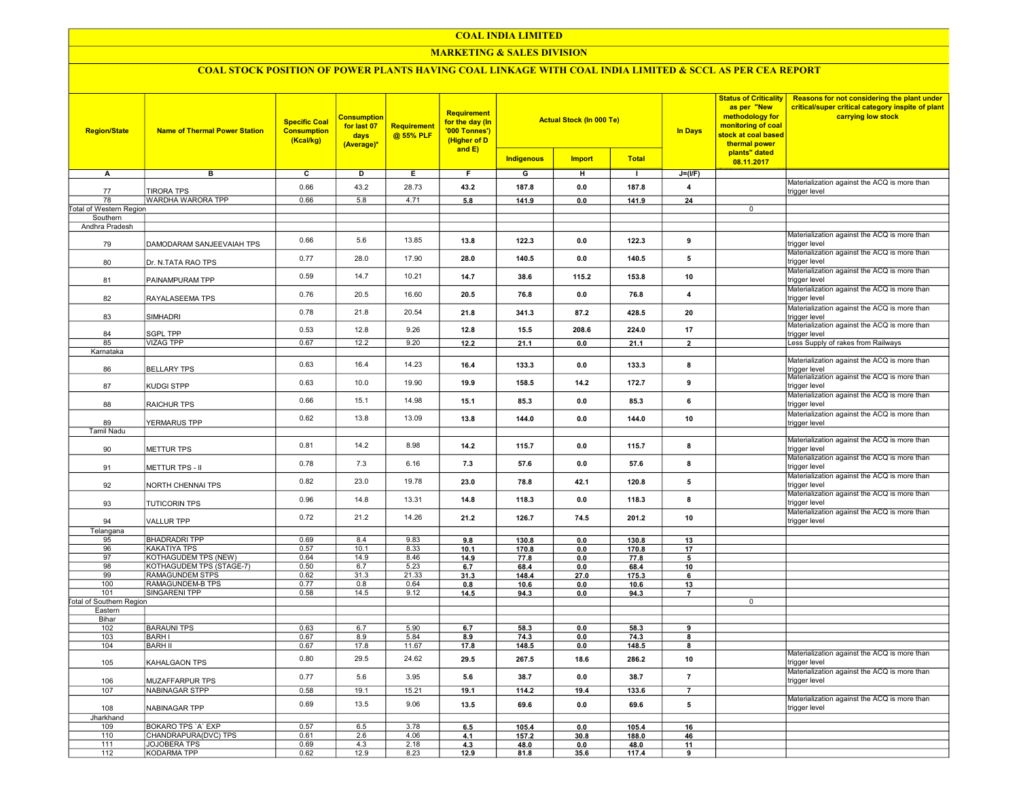# MARKETING & SALES DIVISION

| <b>Region/State</b>             | <b>Name of Thermal Power Station</b>       | <b>Specific Coal</b><br><b>Consumption</b><br>(Kcal/kg) | <b>Consumption</b><br>for last 07<br>days<br>(Average)* | Requirement<br>@ 55% PLF | <b>Requirement</b><br>for the day (In<br>'000 Tonnes')<br>(Higher of D<br>and E) | <b>Actual Stock (In 000 Te)</b> |               |                | <b>In Days</b>          | <b>Status of Criticality</b><br>as per "New<br>methodology for<br>monitoring of coal<br>stock at coal based<br>thermal power<br>plants" dated | Reasons for not considering the plant under<br>critical/super critical category inspite of plant<br>carrying low stock |
|---------------------------------|--------------------------------------------|---------------------------------------------------------|---------------------------------------------------------|--------------------------|----------------------------------------------------------------------------------|---------------------------------|---------------|----------------|-------------------------|-----------------------------------------------------------------------------------------------------------------------------------------------|------------------------------------------------------------------------------------------------------------------------|
|                                 |                                            |                                                         |                                                         |                          |                                                                                  | <b>Indigenous</b>               | <b>Import</b> | <b>Total</b>   |                         | 08.11.2017                                                                                                                                    |                                                                                                                        |
| A                               | в                                          | c                                                       | D                                                       | Ε.                       | F.                                                                               | G                               | н             | $\mathbf{I}$   | $J=(I/F)$               |                                                                                                                                               |                                                                                                                        |
| 77                              | <b>TIRORA TPS</b>                          | 0.66                                                    | 43.2                                                    | 28.73                    | 43.2                                                                             | 187.8                           | 0.0           | 187.8          | $\overline{\mathbf{4}}$ |                                                                                                                                               | Materialization against the ACQ is more than<br>trigger level                                                          |
| 78                              | <b>WARDHA WARORA TPP</b>                   | 0.66                                                    | 5.8                                                     | 4.71                     | 5.8                                                                              | 141.9                           | 0.0           | 141.9          | $\overline{24}$         |                                                                                                                                               |                                                                                                                        |
| Total of Western Region         |                                            |                                                         |                                                         |                          |                                                                                  |                                 |               |                |                         | $\mathsf 0$                                                                                                                                   |                                                                                                                        |
| Southern<br>Andhra Pradesh      |                                            |                                                         |                                                         |                          |                                                                                  |                                 |               |                |                         |                                                                                                                                               |                                                                                                                        |
|                                 |                                            |                                                         |                                                         |                          |                                                                                  |                                 |               |                |                         |                                                                                                                                               | Materialization against the ACQ is more than                                                                           |
| 79                              | DAMODARAM SANJEEVAIAH TPS                  | 0.66                                                    | 5.6                                                     | 13.85                    | 13.8                                                                             | 122.3                           | 0.0           | 122.3          | 9                       |                                                                                                                                               | trigger level                                                                                                          |
| 80                              | Dr. N.TATA RAO TPS                         | 0.77                                                    | 28.0                                                    | 17.90                    | 28.0                                                                             | 140.5                           | 0.0           | 140.5          | 5                       |                                                                                                                                               | Materialization against the ACQ is more than<br>trigger level                                                          |
|                                 |                                            |                                                         |                                                         |                          |                                                                                  |                                 |               |                |                         |                                                                                                                                               | Materialization against the ACQ is more than                                                                           |
| 81                              | PAINAMPURAM TPP                            | 0.59                                                    | 14.7                                                    | 10.21                    | 14.7                                                                             | 38.6                            | 115.2         | 153.8          | 10                      |                                                                                                                                               | trigger level                                                                                                          |
| 82                              | RAYALASEEMA TPS                            | 0.76                                                    | 20.5                                                    | 16.60                    | 20.5                                                                             | 76.8                            | 0.0           | 76.8           | $\overline{\mathbf{4}}$ |                                                                                                                                               | Materialization against the ACQ is more than<br>trigger level                                                          |
|                                 |                                            |                                                         |                                                         |                          |                                                                                  |                                 |               |                |                         |                                                                                                                                               | Materialization against the ACQ is more than                                                                           |
| 83                              | SIMHADRI                                   | 0.78                                                    | 21.8                                                    | 20.54                    | 21.8                                                                             | 341.3                           | 87.2          | 428.5          | 20                      |                                                                                                                                               | trigger level                                                                                                          |
| 84                              |                                            | 0.53                                                    | 12.8                                                    | 9.26                     | 12.8                                                                             | 15.5                            | 208.6         | 224.0          | 17                      |                                                                                                                                               | Materialization against the ACQ is more than                                                                           |
| 85                              | <b>SGPL TPP</b><br><b>VIZAG TPP</b>        | 0.67                                                    | 12.2                                                    | 9.20                     | 12.2                                                                             | 21.1                            | 0.0           | 21.1           | $\overline{\mathbf{2}}$ |                                                                                                                                               | trigger level<br>Less Supply of rakes from Railways                                                                    |
| Karnataka                       |                                            |                                                         |                                                         |                          |                                                                                  |                                 |               |                |                         |                                                                                                                                               |                                                                                                                        |
|                                 |                                            | 0.63                                                    | 16.4                                                    | 14.23                    | 16.4                                                                             | 133.3                           | 0.0           | 133.3          | 8                       |                                                                                                                                               | Materialization against the ACQ is more than                                                                           |
| 86                              | <b>BELLARY TPS</b>                         |                                                         |                                                         |                          |                                                                                  |                                 |               |                |                         |                                                                                                                                               | rigger level<br>Materialization against the ACQ is more than                                                           |
| 87                              | KUDGI STPP                                 | 0.63                                                    | 10.0                                                    | 19.90                    | 19.9                                                                             | 158.5                           | 14.2          | 172.7          | 9                       |                                                                                                                                               | trigger level                                                                                                          |
| 88                              | <b>RAICHUR TPS</b>                         | 0.66                                                    | 15.1                                                    | 14.98                    | 15.1                                                                             | 85.3                            | 0.0           | 85.3           | 6                       |                                                                                                                                               | Materialization against the ACQ is more than<br>trigger level                                                          |
|                                 |                                            |                                                         |                                                         |                          |                                                                                  |                                 |               |                |                         |                                                                                                                                               | Materialization against the ACQ is more than                                                                           |
| 89                              | YERMARUS TPP                               | 0.62                                                    | 13.8                                                    | 13.09                    | 13.8                                                                             | 144.0                           | 0.0           | 144.0          | 10                      |                                                                                                                                               | trigger level                                                                                                          |
| <b>Tamil Nadu</b>               |                                            |                                                         |                                                         |                          |                                                                                  |                                 |               |                |                         |                                                                                                                                               |                                                                                                                        |
| 90                              | <b>METTUR TPS</b>                          | 0.81                                                    | 14.2                                                    | 8.98                     | 14.2                                                                             | 115.7                           | 0.0           | 115.7          | 8                       |                                                                                                                                               | Materialization against the ACQ is more than<br>trigger level                                                          |
|                                 |                                            |                                                         |                                                         |                          |                                                                                  |                                 |               |                |                         |                                                                                                                                               | Materialization against the ACQ is more than                                                                           |
| 91                              | METTUR TPS - II                            | 0.78                                                    | 7.3                                                     | 6.16                     | 7.3                                                                              | 57.6                            | 0.0           | 57.6           | 8                       |                                                                                                                                               | trigger level                                                                                                          |
| 92                              | NORTH CHENNAI TPS                          | 0.82                                                    | 23.0                                                    | 19.78                    | 23.0                                                                             | 78.8                            | 42.1          | 120.8          | 5                       |                                                                                                                                               | Materialization against the ACQ is more than<br>trigger level                                                          |
|                                 |                                            |                                                         |                                                         |                          |                                                                                  |                                 |               |                |                         |                                                                                                                                               | Materialization against the ACQ is more than                                                                           |
| 93                              | <b>TUTICORIN TPS</b>                       | 0.96                                                    | 14.8                                                    | 13.31                    | 14.8                                                                             | 118.3                           | 0.0           | 118.3          | 8                       |                                                                                                                                               | trigger level                                                                                                          |
| 94                              | <b>VALLUR TPP</b>                          | 0.72                                                    | 21.2                                                    | 14.26                    | 21.2                                                                             | 126.7                           | 74.5          | 201.2          | $10\,$                  |                                                                                                                                               | Materialization against the ACQ is more than<br>trigger level                                                          |
| Telangana                       |                                            |                                                         |                                                         |                          |                                                                                  |                                 |               |                |                         |                                                                                                                                               |                                                                                                                        |
| 95                              | <b>BHADRADRI TPP</b>                       | 0.69                                                    | 8.4                                                     | 9.83                     | 9.8                                                                              | 130.8                           | 0.0           | 130.8          | 13                      |                                                                                                                                               |                                                                                                                        |
| 96                              | <b>KAKATIYA TPS</b>                        | 0.57                                                    | 10.1                                                    | 8.33                     | 10.1                                                                             | 170.8                           | 0.0           | 170.8          | 17                      |                                                                                                                                               |                                                                                                                        |
| 97                              | <b>KOTHAGUDEM TPS (NEW)</b>                | 0.64                                                    | 14.9                                                    | 8.46                     | 14.9                                                                             | 77.8                            | 0.0           | 77.8           | 5                       |                                                                                                                                               |                                                                                                                        |
| 98                              | KOTHAGUDEM TPS (STAGE-7)                   | 0.50                                                    | 6.7                                                     | 5.23                     | 6.7                                                                              | 68.4                            | 0.0           | 68.4           | 10                      |                                                                                                                                               |                                                                                                                        |
| 99                              | <b>RAMAGUNDEM STPS</b>                     | 0.62                                                    | 31.3                                                    | 21.33                    | 31.3                                                                             | 148.4                           | 27.0          | 175.3          | 6                       |                                                                                                                                               |                                                                                                                        |
| 100                             | <b>RAMAGUNDEM-B TPS</b>                    | 0.77                                                    | 0.8                                                     | 0.64                     | 0.8                                                                              | 10.6                            | 0.0           | 10.6           | 13                      |                                                                                                                                               |                                                                                                                        |
| 101                             | <b>SINGARENI TPP</b>                       | 0.58                                                    | 14.5                                                    | 9.12                     | 14.5                                                                             | 94.3                            | $0.0\,$       | 94.3           | $\overline{7}$          |                                                                                                                                               |                                                                                                                        |
| <b>Total of Southern Region</b> |                                            |                                                         |                                                         |                          |                                                                                  |                                 |               |                |                         | $\overline{0}$                                                                                                                                |                                                                                                                        |
| Eastern                         |                                            |                                                         |                                                         |                          |                                                                                  |                                 |               |                |                         |                                                                                                                                               |                                                                                                                        |
| Bihar                           |                                            |                                                         |                                                         |                          |                                                                                  |                                 |               |                |                         |                                                                                                                                               |                                                                                                                        |
| 102                             | <b>BARAUNI TPS</b>                         | 0.63                                                    | 6.7                                                     | 5.90                     | 6.7                                                                              | 58.3                            | 0.0           | 58.3           | 9                       |                                                                                                                                               |                                                                                                                        |
| 103                             | <b>BARHI</b>                               | 0.67                                                    | 8.9                                                     | 5.84                     | 8.9                                                                              | 74.3                            | 0.0           | 74.3           | 8                       |                                                                                                                                               |                                                                                                                        |
| 104                             | <b>BARH II</b>                             | 0.67                                                    | 17.8                                                    | 11.67                    | 17.8                                                                             | 148.5                           | 0.0           | 148.5          | 8                       |                                                                                                                                               |                                                                                                                        |
| 105                             | KAHALGAON TPS                              | 0.80                                                    | 29.5                                                    | 24.62                    | 29.5                                                                             | 267.5                           | 18.6          | 286.2          | 10                      |                                                                                                                                               | Materialization against the ACQ is more than<br>trigger level                                                          |
|                                 |                                            |                                                         |                                                         |                          |                                                                                  |                                 |               |                |                         |                                                                                                                                               | Materialization against the ACQ is more than                                                                           |
| 106                             | MUZAFFARPUR TPS                            | 0.77                                                    | 5.6                                                     | 3.95                     | 5.6                                                                              | 38.7                            | 0.0           | 38.7           | $\overline{7}$          |                                                                                                                                               | trigger level                                                                                                          |
| 107                             | <b>NABINAGAR STPP</b>                      | 0.58                                                    | 19.1                                                    | 15.21                    | 19.1                                                                             | 114.2                           | 19.4          | 133.6          |                         |                                                                                                                                               |                                                                                                                        |
|                                 | NABINAGAR TPP                              | 0.69                                                    | 13.5                                                    | 9.06                     | 13.5                                                                             | 69.6                            | 0.0           | 69.6           | 5                       |                                                                                                                                               | Materialization against the ACQ is more than<br>trigger level                                                          |
| 108                             |                                            |                                                         |                                                         |                          |                                                                                  |                                 |               |                |                         |                                                                                                                                               |                                                                                                                        |
| Jharkhand                       |                                            | 0.57                                                    |                                                         |                          |                                                                                  |                                 |               |                |                         |                                                                                                                                               |                                                                                                                        |
| 109<br>110                      | BOKARO TPS 'A' EXP<br>CHANDRAPURA(DVC) TPS | 0.61                                                    | 6.5<br>2.6                                              | 3.78<br>4.06             | 6.5                                                                              | 105.4                           | 0.0           | 105.4<br>188.0 | 16                      |                                                                                                                                               |                                                                                                                        |
| 111                             | JOJOBERA TPS                               | 0.69                                                    | 4.3                                                     | 2.18                     | 4.1<br>4.3                                                                       | 157.2                           | 30.8          | 48.0           | 46                      |                                                                                                                                               |                                                                                                                        |
| 112                             | KODARMA TPP                                | 0.62                                                    | 12.9                                                    | 8.23                     | 12.9                                                                             | 48.0<br>81.8                    | 0.0<br>35.6   | 117.4          | 11<br>9                 |                                                                                                                                               |                                                                                                                        |
|                                 |                                            |                                                         |                                                         |                          |                                                                                  |                                 |               |                |                         |                                                                                                                                               |                                                                                                                        |